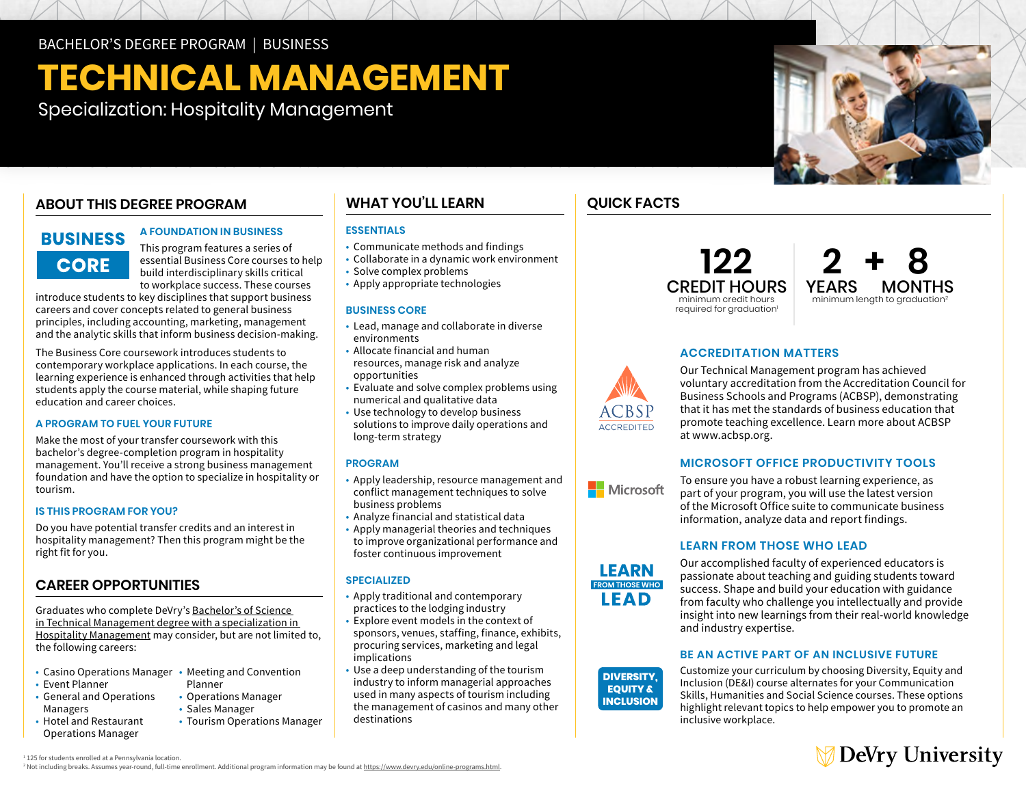BACHELOR'S DEGREE PROGRAM | BUSINESS

# **TECHNICAL MANAGEMENT**

Specialization: Hospitality Management

## **ABOUT THIS DEGREE PROGRAM**

# **BUSINESS CORE**

#### **A FOUNDATION IN BUSINESS**

This program features a series of essential Business Core courses to help build interdisciplinary skills critical to workplace success. These courses

introduce students to key disciplines that support business careers and cover concepts related to general business principles, including accounting, marketing, management and the analytic skills that inform business decision-making.

The Business Core coursework introduces students to contemporary workplace applications. In each course, the learning experience is enhanced through activities that help students apply the course material, while shaping future education and career choices.

#### **A PROGRAM TO FUEL YOUR FUTURE**

Make the most of your transfer coursework with this bachelor's degree-completion program in hospitality management. You'll receive a strong business management foundation and have the option to specialize in hospitality or tourism.

#### **IS THIS PROGRAM FOR YOU?**

Do you have potential transfer credits and an interest in hospitality management? Then this program might be the right fit for you.

#### **CAREER OPPORTUNITIES**

Graduates who complete DeVry's [Bachelor's of Science](https://www.devry.edu/online-programs/bachelors-degrees/business/hospitality-management-specialization.html)  [in Technical Management degree with a specialization in](https://www.devry.edu/online-programs/bachelors-degrees/business/hospitality-management-specialization.html)  [Hospitality Management](https://www.devry.edu/online-programs/bachelors-degrees/business/hospitality-management-specialization.html) may consider, but are not limited to, the following careers:

- Casino Operations Manager Meeting and Convention
- Event Planner
- • General and Operations Managers
- • Hotel and Restaurant Operations Manager
- Planner
- Operations Manager
- Sales Manager
- Tourism Operations Manager

#### **WHAT YOU'LL LEARN**

#### **ESSENTIALS**

- Communicate methods and findings
- Collaborate in a dynamic work environment
- Solve complex problems
- Apply appropriate technologies

#### **BUSINESS CORE**

- • Lead, manage and collaborate in diverse environments
- • Allocate financial and human opportunities resources, manage risk and analyze
- opportunities Evaluate and solve complex problems using numerical and qualitative data
- • Use technology to develop business solutions to improve daily operations and long-term strategy

#### **PROGRAM**

- • Apply leadership, resource management and conflict management techniques to solve business problems
- Analyze financial and statistical data
- • Apply managerial theories and techniques to improve organizational performance and foster continuous improvement

#### **SPECIALIZED**

- • Apply traditional and contemporary practices to the lodging industry
- • Explore event models in the context of implications sponsors, venues, staffing, finance, exhibits, procuring services, marketing and legal
- implications Use a deep understanding of the tourism industry to inform managerial approaches used in many aspects of tourism including the management of casinos and many other destinations



### **122**  CREDIT HOURS minimum credit hours required for graduation<sup>1</sup>



#### **ACCREDITATION MATTERS**

Our Technical Management program has achieved voluntary accreditation from the Accreditation Council for Business Schools and Programs (ACBSP), demonstrating that it has met the standards of business education that promote teaching excellence. Learn more about ACBSP at [www.acbsp.org.](http://www.acbsp.org)

#### **MICROSOFT OFFICE PRODUCTIVITY TOOLS**



**LEARN FROM THOSE WHO LEAD** 

> **DIVERSITY. EQUITY & INCLUSION**

**ACCREDITED** 

To ensure you have a robust learning experience, as part of your program, you will use the latest version of the Microsoft Office suite to communicate business information, analyze data and report findings.

#### **LEARN FROM THOSE WHO LEAD**



#### **BE AN ACTIVE PART OF AN INCLUSIVE FUTURE**

Customize your curriculum by choosing Diversity, Equity and Inclusion (DE&I) course alternates for your Communication Skills, Humanities and Social Science courses. These options highlight relevant topics to help empower you to promote an inclusive workplace.



1 125 for students enrolled at a Pennsylvania location. <sup>2</sup> Not including breaks. Assumes year-round, full-time enrollment. Additional program information may be found at [https://www.devry.edu/online-programs.html.](https://www.devry.edu/online-programs.html)